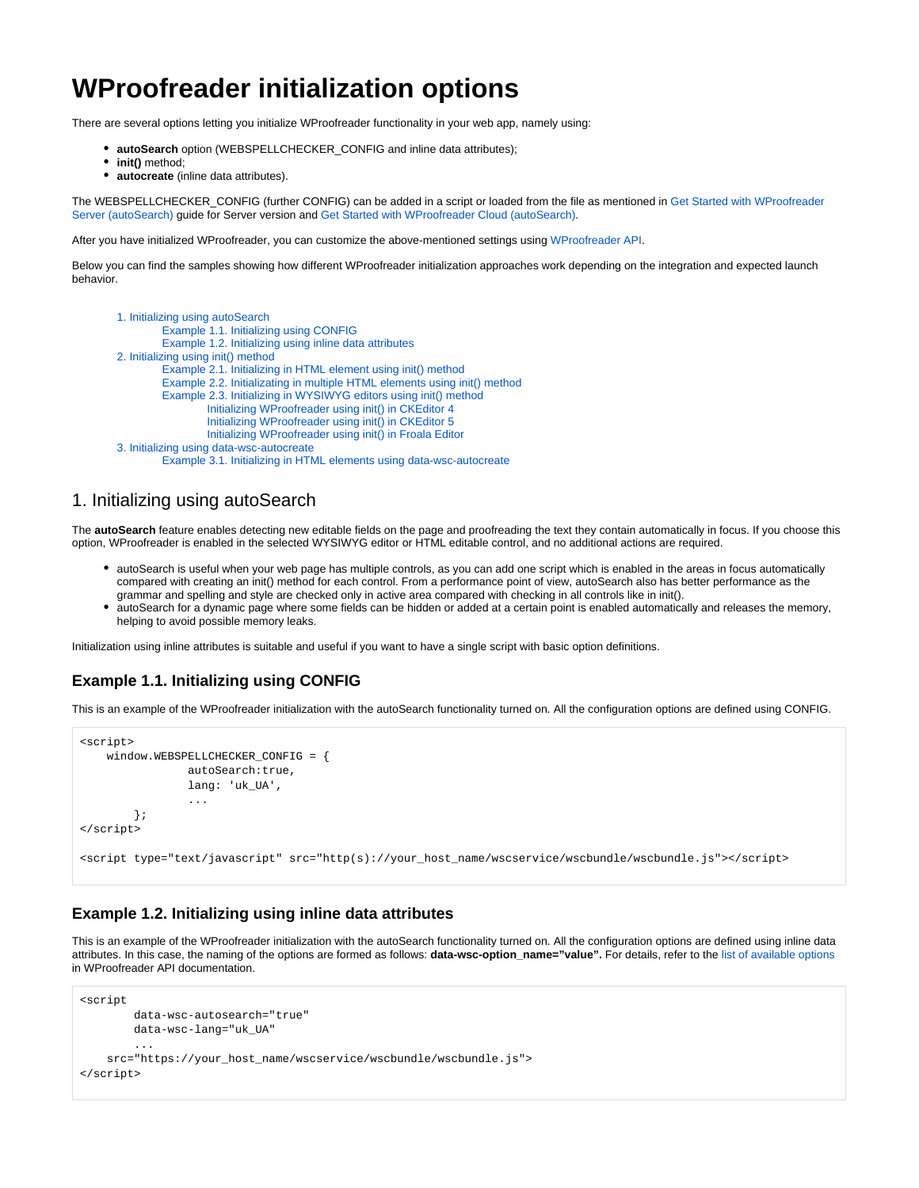# **WProofreader initialization options**

There are several options letting you initialize WProofreader functionality in your web app, namely using:

- **autoSearch** option (WEBSPELLCHECKER\_CONFIG and inline data attributes);
- **init()** method;
- **autocreate** (inline data attributes).

The WEBSPELLCHECKER\_CONFIG (further CONFIG) can be added in a script or loaded from the file as mentioned in [Get Started with WProofreader](https://docs.webspellchecker.net/pages/viewpage.action?pageId=454919195)  [Server \(autoSearch\)](https://docs.webspellchecker.net/pages/viewpage.action?pageId=454919195) guide for Server version and [Get Started with WProofreader Cloud \(autoSearch\).](https://docs.webspellchecker.net/pages/viewpage.action?pageId=442663877)

After you have initialized WProofreader, you can customize the above-mentioned settings using [WProofreader API.](https://webspellchecker.com/docs/api/wscbundle/Options.html)

Below you can find the samples showing how different WProofreader initialization approaches work depending on the integration and expected launch behavior.

```
1. Initializing using autoSearch
         Example 1.1. Initializing using CONFIG
         Example 1.2. Initializing using inline data attributes
2. Initializing using init() method
         Example 2.1. Initializing in HTML element using init() method
         Example 2.2. Initializating in multiple HTML elements using init() method
         Example 2.3. Initializing in WYSIWYG editors using init() method
                  Initializing WProofreader using init() in CKEditor 4
                  Initializing WProofreader using init() in CKEditor 5
                  Initializing WProofreader using init() in Froala Editor
3. Initializing using data-wsc-autocreate
         Example 3.1. Initializing in HTML elements using data-wsc-autocreate
```
## <span id="page-0-0"></span>1. Initializing using autoSearch

The **autoSearch** feature enables detecting new editable fields on the page and proofreading the text they contain automatically in focus. If you choose this option, WProofreader is enabled in the selected WYSIWYG editor or HTML editable control, and no additional actions are required.

- autoSearch is useful when your web page has multiple controls, as you can add one script which is enabled in the areas in focus automatically compared with creating an init() method for each control. From a performance point of view, autoSearch also has better performance as the grammar and spelling and style are checked only in active area compared with checking in all controls like in init().
- autoSearch for a dynamic page where some fields can be hidden or added at a certain point is enabled automatically and releases the memory, helping to avoid possible memory leaks.

Initialization using inline attributes is suitable and useful if you want to have a single script with basic option definitions.

## <span id="page-0-1"></span>**Example 1.1. Initializing using CONFIG**

This is an example of the WProofreader initialization with the autoSearch functionality turned on. All the configuration options are defined using CONFIG.

```
<script>
    window.WEBSPELLCHECKER_CONFIG = {
               autoSearch:true,
                lang: 'uk_UA',
 ...
        };
</script>
<script type="text/javascript" src="http(s)://your_host_name/wscservice/wscbundle/wscbundle.js"></script>
```
#### <span id="page-0-2"></span>**Example 1.2. Initializing using inline data attributes**

This is an example of the WProofreader initialization with the autoSearch functionality turned on. All the configuration options are defined using inline data attributes. In this case, the naming of the options are formed as follows: **data-wsc-option name="value".** For details, refer to the [list of available options](https://webspellchecker.com/docs/api/wscbundle/Options.html) in WProofreader API documentation.

```
<script
        data-wsc-autosearch="true"
        data-wsc-lang="uk_UA"
 ...
    src="https://your_host_name/wscservice/wscbundle/wscbundle.js">
</script>
```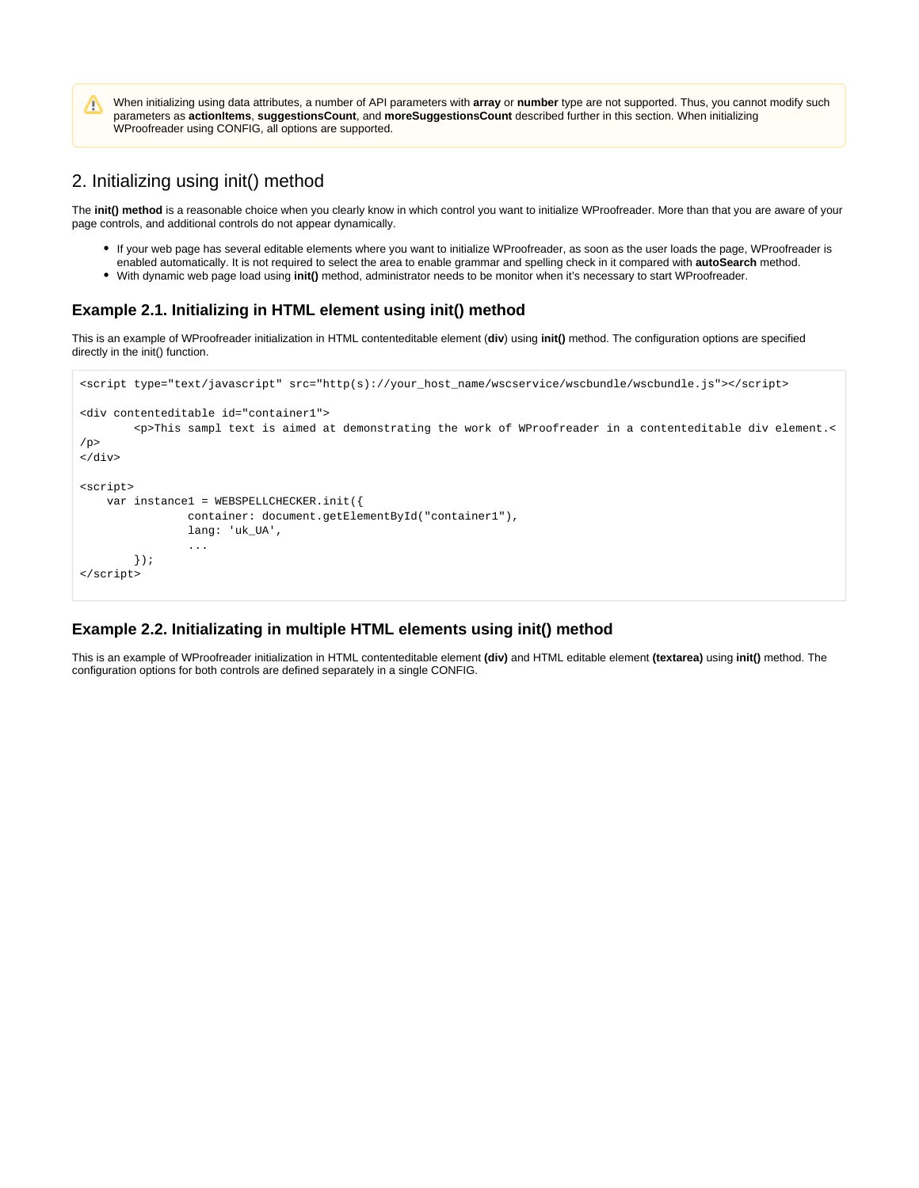When initializing using data attributes, a number of API parameters with **array** or **number** type are not supported. Thus, you cannot modify such Λ parameters as **actionItems**, **suggestionsCount**, and **moreSuggestionsCount** described further in this section. When initializing WProofreader using CONFIG, all options are supported.

## <span id="page-1-0"></span>2. Initializing using init() method

The init() method is a reasonable choice when you clearly know in which control you want to initialize WProofreader. More than that you are aware of your page controls, and additional controls do not appear dynamically.

- If your web page has several editable elements where you want to initialize WProofreader, as soon as the user loads the page, WProofreader is enabled automatically. It is not required to select the area to enable grammar and spelling check in it compared with **autoSearch** method.
- With dynamic web page load using **init()** method, administrator needs to be monitor when it's necessary to start WProofreader.

### <span id="page-1-1"></span>**Example 2.1. Initializing in HTML element using init() method**

This is an example of WProofreader initialization in HTML contenteditable element (**div**) using **init()** method. The configuration options are specified directly in the init() function.

```
<script type="text/javascript" src="http(s)://your_host_name/wscservice/wscbundle/wscbundle.js"></script>
<div contenteditable id="container1">
         <p>This sampl text is aimed at demonstrating the work of WProofreader in a contenteditable div element.<
/p>
</div>
<script>
    var instance1 = WEBSPELLCHECKER.init({
                 container: document.getElementById("container1"),
                 lang: 'uk_UA',
                 ...
         });
</script>
```
#### <span id="page-1-2"></span>**Example 2.2. Initializating in multiple HTML elements using init() method**

This is an example of WProofreader initialization in HTML contenteditable element **(div)** and HTML editable element **(textarea)** using **init()** method. The configuration options for both controls are defined separately in a single CONFIG.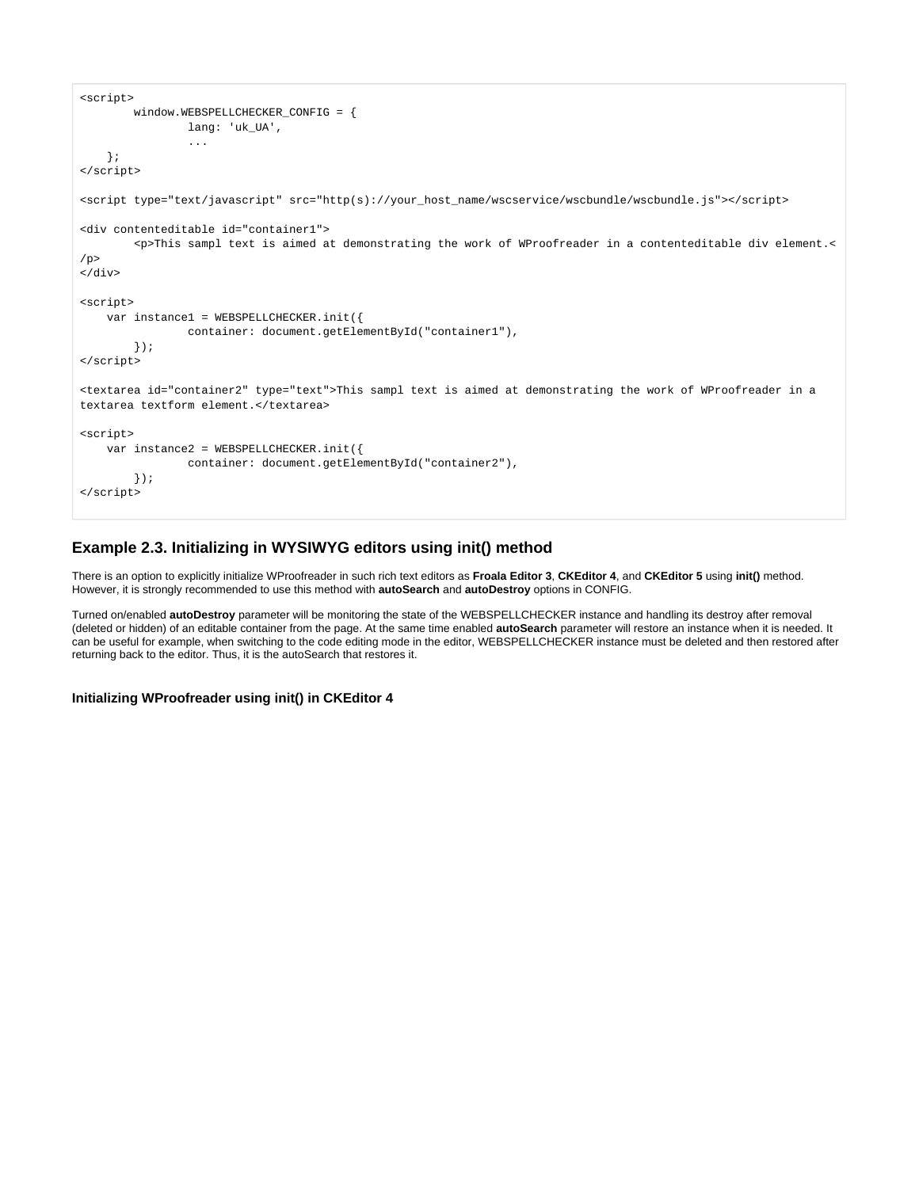```
<script>
        window.WEBSPELLCHECKER_CONFIG = {
                lang: 'uk_UA',
                 ...
    };
</script>
<script type="text/javascript" src="http(s)://your_host_name/wscservice/wscbundle/wscbundle.js"></script>
<div contenteditable id="container1">
        <p>This sampl text is aimed at demonstrating the work of WProofreader in a contenteditable div element.<
/p</div>
<script>
    var instance1 = WEBSPELLCHECKER.init({
                container: document.getElementById("container1"),
        });
</script>
<textarea id="container2" type="text">This sampl text is aimed at demonstrating the work of WProofreader in a 
textarea textform element.</textarea>
<script>
    var instance2 = WEBSPELLCHECKER.init({
                container: document.getElementById("container2"),
        });
</script>
```
#### <span id="page-2-0"></span>**Example 2.3. Initializing in WYSIWYG editors using init() method**

There is an option to explicitly initialize WProofreader in such rich text editors as **Froala Editor 3**, **CKEditor 4**, and **CKEditor 5** using **init()** method. However, it is strongly recommended to use this method with **autoSearch** and **autoDestroy** options in CONFIG.

Turned on/enabled **autoDestroy** parameter will be monitoring the state of the WEBSPELLCHECKER instance and handling its destroy after removal (deleted or hidden) of an editable container from the page. At the same time enabled **autoSearch** parameter will restore an instance when it is needed. It can be useful for example, when switching to the code editing mode in the editor, WEBSPELLCHECKER instance must be deleted and then restored after returning back to the editor. Thus, it is the autoSearch that restores it.

#### <span id="page-2-1"></span>**Initializing WProofreader using init() in CKEditor 4**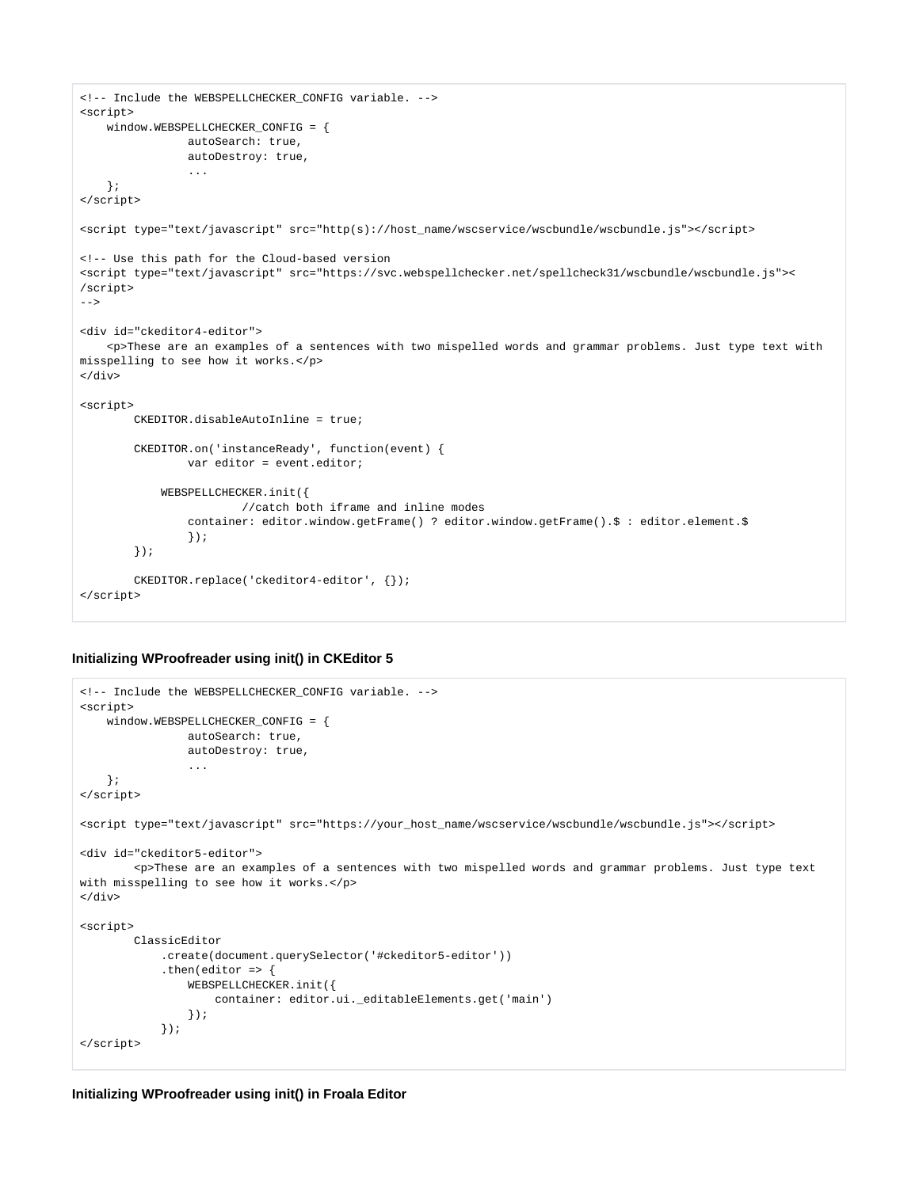```
<!-- Include the WEBSPELLCHECKER_CONFIG variable. -->
<script>
    window.WEBSPELLCHECKER_CONFIG = {
                autoSearch: true,
                autoDestroy: true,
 ... 
    };
</script>
<script type="text/javascript" src="http(s)://host_name/wscservice/wscbundle/wscbundle.js"></script>
<!-- Use this path for the Cloud-based version
<script type="text/javascript" src="https://svc.webspellchecker.net/spellcheck31/wscbundle/wscbundle.js"><
/script>
--<div id="ckeditor4-editor">
    <p>These are an examples of a sentences with two mispelled words and grammar problems. Just type text with 
misspelling to see how it works.</p>
</div>
<script>
        CKEDITOR.disableAutoInline = true;
        CKEDITOR.on('instanceReady', function(event) {
                var editor = event.editor;
            WEBSPELLCHECKER.init({
                        //catch both iframe and inline modes 
                 container: editor.window.getFrame() ? editor.window.getFrame().$ : editor.element.$
                 });
        });
        CKEDITOR.replace('ckeditor4-editor', {});
</script>
```
#### <span id="page-3-0"></span>**Initializing WProofreader using init() in CKEditor 5**

```
<!-- Include the WEBSPELLCHECKER_CONFIG variable. -->
<script>
    window.WEBSPELLCHECKER_CONFIG = {
                autoSearch: true,
                 autoDestroy: true,
                 ... 
    };
</script>
<script type="text/javascript" src="https://your_host_name/wscservice/wscbundle/wscbundle.js"></script>
<div id="ckeditor5-editor">
        <p>These are an examples of a sentences with two mispelled words and grammar problems. Just type text 
with misspelling to see how it works.</p>
</div>
<script>
        ClassicEditor
             .create(document.querySelector('#ckeditor5-editor'))
            .then(editor => {
                 WEBSPELLCHECKER.init({
                    container: editor.ui._editableElements.get('main')
                 });
            });
</script>
```